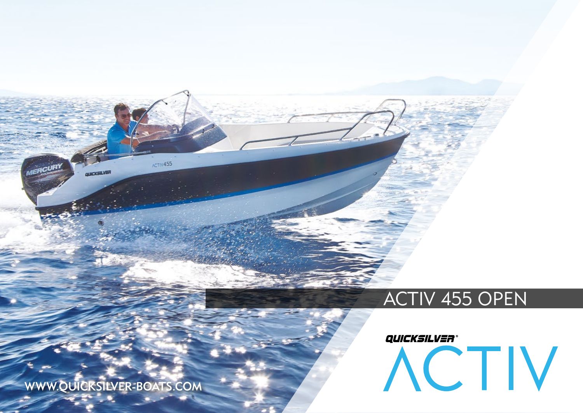## ACTIV 455 OPEN

# QUICKSILVER® ACTIV

WWW.QUICKSILVER-BOATS.COM

**IERCURY** 

QUICKSILVER

ACTIV455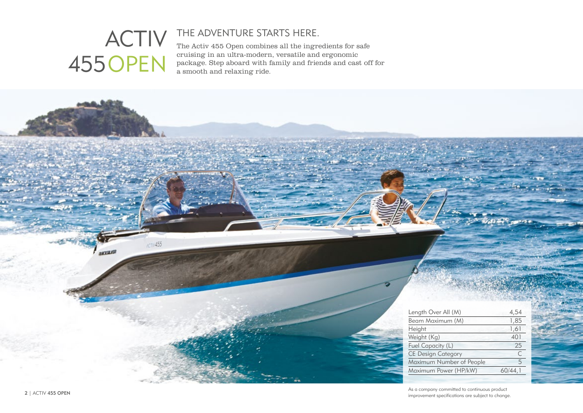## ACTIV 455OPEN

 $/CTV455$ 

**AKTELIS** 

## THE ADVENTURE STARTS HERE.

The Activ 455 Open combines all the ingredients for safe cruising in an ultra-modern, versatile and ergonomic package. Step aboard with family and friends and cast off for a smooth and relaxing ride.

| Length Over All (M)       | 4,54    |
|---------------------------|---------|
| Beam Maximum (M)          | 1,85    |
| Height                    | 1,61    |
| Weight (Kg)               | 401     |
| Fuel Capacity (L)         | 25      |
| <b>CE Design Category</b> | C       |
| Maximum Number of People  | 5       |
| Maximum Power (HP/kW)     | 60/44.1 |
|                           |         |

As a company committed to continuous product z | ACTIV 455 OPEN<br>improvement specifications are subject to change.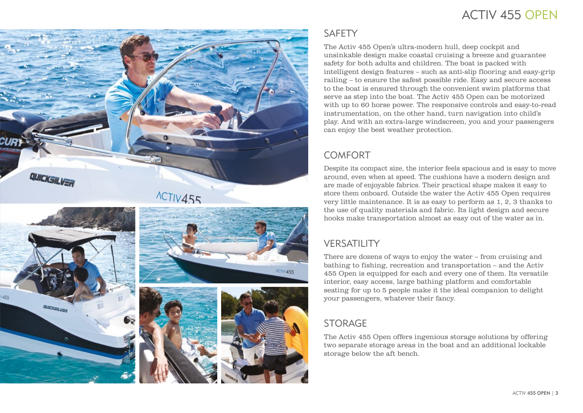## ACTIV 455 OPEN



## ACTIV455







#### **SAFFTY**

The Activ 455 Open's ultra-modern hull, deep cockpit and unsinkable design make coastal cruising a breeze and guarantee safety for both adults and children. The boat is packed with intelligent design features – such as anti-slip flooring and easy-grip railing – to ensure the safest possible ride. Easy and secure access to the boat is ensured through the convenient swim platforms that serve as step into the boat. The Activ 455 Open can be motorized with up to 60 horse power. The responsive controls and easy-to-read instrumentation, on the other hand, turn navigation into child's play. And with an extra-large windscreen, you and your passengers can enjoy the best weather protection.

### **COMFORT**

Despite its compact size, the interior feels spacious and is easy to move around, even when at speed. The cushions have a modern design and are made of enjoyable fabrics. Their practical shape makes it easy to store them onboard. Outside the water the Activ 455 Open requires very little maintenance. It is as easy to perform as 1, 2, 3 thanks to the use of quality materials and fabric. Its light design and secure hooks make transportation almost as easy out of the water as in.

## **VERSATILITY**

There are dozens of ways to enjoy the water – from cruising and bathing to fishing, recreation and transportation – and the Activ 455 Open is equipped for each and every one of them. Its versatile interior, easy access, large bathing platform and comfortable seating for up to 5 people make it the ideal companion to delight your passengers, whatever their fancy.

### STORAGE

The Activ 455 Open offers ingenious storage solutions by offering two separate storage areas in the boat and an additional lockable storage below the aft bench.